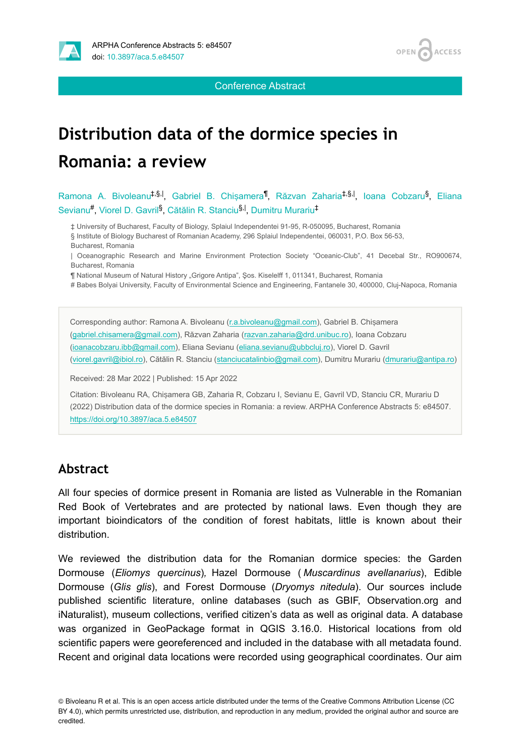



Conference Abstract

# **Distribution data of the dormice species in Romania: a review**

Ramona A. Bivoleanu<sup>‡,§,|</sup>, Gabriel B. Chișamera<sup>¶</sup>, Răzvan Zaharia<sup>‡,§,|</sup>, Ioana Cobzaru<sup>§</sup>, Eliana Sevianu<sup>#</sup>, Viorel D. Gavril<sup>§</sup>, Cătălin R. Stanciu<sup>§, I</sup>, Dumitru Murariu<sup>‡</sup>

‡ University of Bucharest, Faculty of Biology, Splaiul Independentei 91-95, R-050095, Bucharest, Romania § Institute of Biology Bucharest of Romanian Academy, 296 Splaiul Independentei, 060031, P.O. Box 56-53, Bucharest, Romania

| Oceanographic Research and Marine Environment Protection Society "Oceanic-Club", 41 Decebal Str., RO900674, Bucharest, Romania

¶ National Museum of Natural History "Grigore Antipa", Şos. Kiselelff 1, 011341, Bucharest, Romania

# Babes Bolyai University, Faculty of Environmental Science and Engineering, Fantanele 30, 400000, Cluj-Napoca, Romania

Corresponding author: Ramona A. Bivoleanu [\(r.a.bivoleanu@gmail.com\)](mailto:r.a.bivoleanu@gmail.com), Gabriel B. Chișamera [\(gabriel.chisamera@gmail.com\)](mailto:gabriel.chisamera@gmail.com), Răzvan Zaharia [\(razvan.zaharia@drd.unibuc.ro](mailto:razvan.zaharia@drd.unibuc.ro)), Ioana Cobzaru [\(ioanacobzaru.ibb@gmail.com\)](mailto:ioanacobzaru.ibb@gmail.com), Eliana Sevianu ([eliana.sevianu@ubbcluj.ro\)](mailto:eliana.sevianu@ubbcluj.ro), Viorel D. Gavril [\(viorel.gavril@ibiol.ro](mailto:viorel.gavril@ibiol.ro)), Cătălin R. Stanciu ([stanciucatalinbio@gmail.com\)](mailto:stanciucatalinbio@gmail.com), Dumitru Murariu [\(dmurariu@antipa.ro](mailto:dmurariu@antipa.ro))

Received: 28 Mar 2022 | Published: 15 Apr 2022

Citation: Bivoleanu RA, Chișamera GB, Zaharia R, Cobzaru I, Sevianu E, Gavril VD, Stanciu CR, Murariu D (2022) Distribution data of the dormice species in Romania: a review. ARPHA Conference Abstracts 5: e84507. <https://doi.org/10.3897/aca.5.e84507>

#### **Abstract**

All four species of dormice present in Romania are listed as Vulnerable in the Romanian Red Book of Vertebrates and are protected by national laws. Even though they are important bioindicators of the condition of forest habitats, little is known about their distribution.

We reviewed the distribution data for the Romanian dormice species: the Garden Dormouse (*Eliomys quercinus*)*,* Hazel Dormouse ( *Muscardinus avellanarius*), Edible Dormouse (*Glis glis*), and Forest Dormouse (*Dryomys nitedula*). Our sources include published scientific literature, online databases (such as GBIF, Observation.org and iNaturalist), museum collections, verified citizen's data as well as original data. A database was organized in GeoPackage format in QGIS 3.16.0. Historical locations from old scientific papers were georeferenced and included in the database with all metadata found. Recent and original data locations were recorded using geographical coordinates. Our aim

<sup>©</sup> Bivoleanu R et al. This is an open access article distributed under the terms of the Creative Commons Attribution License (CC BY 4.0), which permits unrestricted use, distribution, and reproduction in any medium, provided the original author and source are credited.